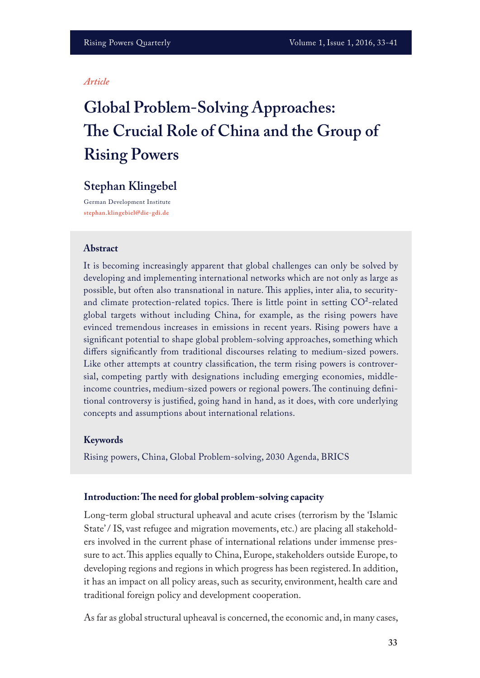#### *Article*

# **Global Problem-Solving Approaches: Te Crucial Role of China and the Group of Rising Powers**

# **Stephan Klingebel**

German Development Institute **stephan.klingebiel@die-gdi.de**

#### **Abstract**

It is becoming increasingly apparent that global challenges can only be solved by developing and implementing international networks which are not only as large as possible, but often also transnational in nature. This applies, inter alia, to securityand climate protection-related topics. There is little point in setting  $CO^2$ -related global targets without including China, for example, as the rising powers have evinced tremendous increases in emissions in recent years. Rising powers have a signifcant potential to shape global problem-solving approaches, something which difers signifcantly from traditional discourses relating to medium-sized powers. Like other attempts at country classifcation, the term rising powers is controversial, competing partly with designations including emerging economies, middleincome countries, medium-sized powers or regional powers. The continuing definitional controversy is justifed, going hand in hand, as it does, with core underlying concepts and assumptions about international relations.

#### **Keywords**

Rising powers, China, Global Problem-solving, 2030 Agenda, BRICS

#### **Introduction: Te need for global problem-solving capacity**

Long-term global structural upheaval and acute crises (terrorism by the 'Islamic State' / IS, vast refugee and migration movements, etc.) are placing all stakeholders involved in the current phase of international relations under immense pressure to act. This applies equally to China, Europe, stakeholders outside Europe, to developing regions and regions in which progress has been registered. In addition, it has an impact on all policy areas, such as security, environment, health care and traditional foreign policy and development cooperation.

As far as global structural upheaval is concerned, the economic and, in many cases,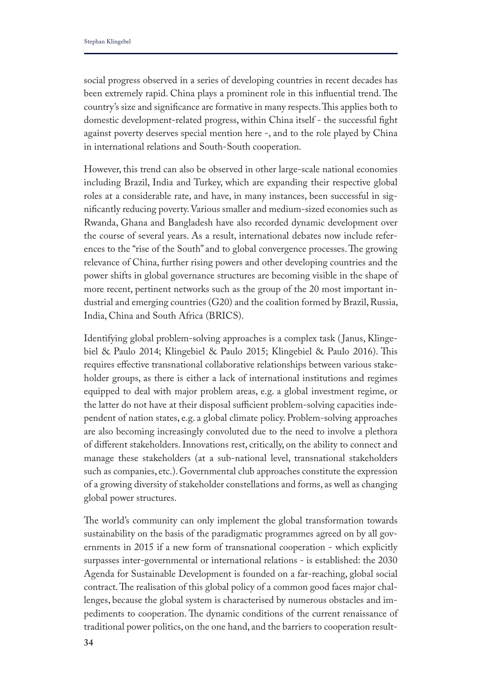social progress observed in a series of developing countries in recent decades has been extremely rapid. China plays a prominent role in this influential trend. The country's size and significance are formative in many respects. This applies both to domestic development-related progress, within China itself - the successful fght against poverty deserves special mention here -, and to the role played by China in international relations and South-South cooperation.

However, this trend can also be observed in other large-scale national economies including Brazil, India and Turkey, which are expanding their respective global roles at a considerable rate, and have, in many instances, been successful in signifcantly reducing poverty. Various smaller and medium-sized economies such as Rwanda, Ghana and Bangladesh have also recorded dynamic development over the course of several years. As a result, international debates now include references to the "rise of the South" and to global convergence processes. The growing relevance of China, further rising powers and other developing countries and the power shifts in global governance structures are becoming visible in the shape of more recent, pertinent networks such as the group of the 20 most important industrial and emerging countries (G20) and the coalition formed by Brazil, Russia, India, China and South Africa (BRICS).

Identifying global problem-solving approaches is a complex task ( Janus, Klingebiel & Paulo 2014; Klingebiel & Paulo 2015; Klingebiel & Paulo 2016). Tis requires efective transnational collaborative relationships between various stakeholder groups, as there is either a lack of international institutions and regimes equipped to deal with major problem areas, e.g. a global investment regime, or the latter do not have at their disposal sufficient problem-solving capacities independent of nation states, e.g. a global climate policy. Problem-solving approaches are also becoming increasingly convoluted due to the need to involve a plethora of diferent stakeholders. Innovations rest, critically, on the ability to connect and manage these stakeholders (at a sub-national level, transnational stakeholders such as companies, etc.). Governmental club approaches constitute the expression of a growing diversity of stakeholder constellations and forms, as well as changing global power structures.

The world's community can only implement the global transformation towards sustainability on the basis of the paradigmatic programmes agreed on by all governments in 2015 if a new form of transnational cooperation - which explicitly surpasses inter-governmental or international relations - is established: the 2030 Agenda for Sustainable Development is founded on a far-reaching, global social contract. The realisation of this global policy of a common good faces major challenges, because the global system is characterised by numerous obstacles and impediments to cooperation. The dynamic conditions of the current renaissance of traditional power politics, on the one hand, and the barriers to cooperation result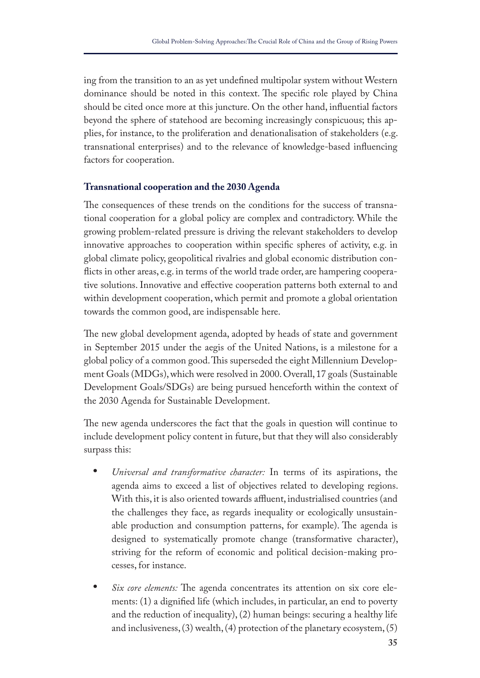ing from the transition to an as yet undefned multipolar system without Western dominance should be noted in this context. The specific role played by China should be cited once more at this juncture. On the other hand, infuential factors beyond the sphere of statehood are becoming increasingly conspicuous; this applies, for instance, to the proliferation and denationalisation of stakeholders (e.g. transnational enterprises) and to the relevance of knowledge-based infuencing factors for cooperation.

#### **Transnational cooperation and the 2030 Agenda**

The consequences of these trends on the conditions for the success of transnational cooperation for a global policy are complex and contradictory. While the growing problem-related pressure is driving the relevant stakeholders to develop innovative approaches to cooperation within specifc spheres of activity, e.g. in global climate policy, geopolitical rivalries and global economic distribution conficts in other areas, e.g. in terms of the world trade order, are hampering cooperative solutions. Innovative and efective cooperation patterns both external to and within development cooperation, which permit and promote a global orientation towards the common good, are indispensable here.

The new global development agenda, adopted by heads of state and government in September 2015 under the aegis of the United Nations, is a milestone for a global policy of a common good. This superseded the eight Millennium Development Goals (MDGs), which were resolved in 2000. Overall, 17 goals (Sustainable Development Goals/SDGs) are being pursued henceforth within the context of the 2030 Agenda for Sustainable Development.

The new agenda underscores the fact that the goals in question will continue to include development policy content in future, but that they will also considerably surpass this:

- **•** *Universal and transformative character:* In terms of its aspirations, the agenda aims to exceed a list of objectives related to developing regions. With this, it is also oriented towards affluent, industrialised countries (and the challenges they face, as regards inequality or ecologically unsustainable production and consumption patterns, for example). The agenda is designed to systematically promote change (transformative character), striving for the reform of economic and political decision-making processes, for instance.
- *Six core elements:* The agenda concentrates its attention on six core elements: (1) a dignifed life (which includes, in particular, an end to poverty and the reduction of inequality), (2) human beings: securing a healthy life and inclusiveness, (3) wealth, (4) protection of the planetary ecosystem, (5)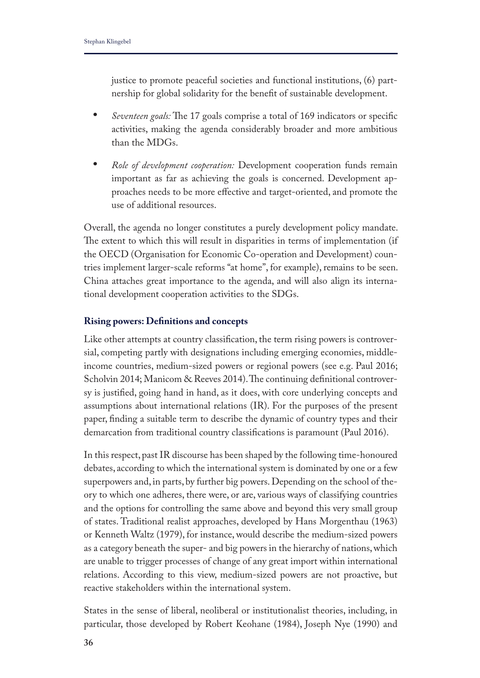justice to promote peaceful societies and functional institutions, (6) partnership for global solidarity for the beneft of sustainable development.

- *Seventeen goals:* The 17 goals comprise a total of 169 indicators or specific activities, making the agenda considerably broader and more ambitious than the MDGs.
- **•** *Role of development cooperation:* Development cooperation funds remain important as far as achieving the goals is concerned. Development approaches needs to be more efective and target-oriented, and promote the use of additional resources.

Overall, the agenda no longer constitutes a purely development policy mandate. The extent to which this will result in disparities in terms of implementation (if the OECD (Organisation for Economic Co-operation and Development) countries implement larger-scale reforms "at home", for example), remains to be seen. China attaches great importance to the agenda, and will also align its international development cooperation activities to the SDGs.

## **Rising powers: Defnitions and concepts**

Like other attempts at country classifcation, the term rising powers is controversial, competing partly with designations including emerging economies, middleincome countries, medium-sized powers or regional powers (see e.g. Paul 2016; Scholvin 2014; Manicom & Reeves 2014). The continuing definitional controversy is justifed, going hand in hand, as it does, with core underlying concepts and assumptions about international relations (IR). For the purposes of the present paper, fnding a suitable term to describe the dynamic of country types and their demarcation from traditional country classifcations is paramount (Paul 2016).

In this respect, past IR discourse has been shaped by the following time-honoured debates, according to which the international system is dominated by one or a few superpowers and, in parts, by further big powers. Depending on the school of theory to which one adheres, there were, or are, various ways of classifying countries and the options for controlling the same above and beyond this very small group of states. Traditional realist approaches, developed by Hans Morgenthau (1963) or Kenneth Waltz (1979), for instance, would describe the medium-sized powers as a category beneath the super- and big powers in the hierarchy of nations, which are unable to trigger processes of change of any great import within international relations. According to this view, medium-sized powers are not proactive, but reactive stakeholders within the international system.

States in the sense of liberal, neoliberal or institutionalist theories, including, in particular, those developed by Robert Keohane (1984), Joseph Nye (1990) and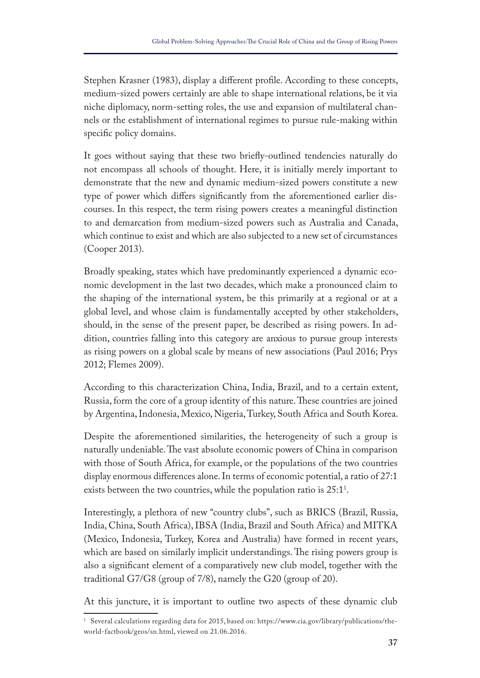Stephen Krasner (1983), display a diferent profle. According to these concepts, medium-sized powers certainly are able to shape international relations, be it via niche diplomacy, norm-setting roles, the use and expansion of multilateral channels or the establishment of international regimes to pursue rule-making within specifc policy domains.

It goes without saying that these two briefy-outlined tendencies naturally do not encompass all schools of thought. Here, it is initially merely important to demonstrate that the new and dynamic medium-sized powers constitute a new type of power which difers signifcantly from the aforementioned earlier discourses. In this respect, the term rising powers creates a meaningful distinction to and demarcation from medium-sized powers such as Australia and Canada, which continue to exist and which are also subjected to a new set of circumstances (Cooper 2013).

Broadly speaking, states which have predominantly experienced a dynamic economic development in the last two decades, which make a pronounced claim to the shaping of the international system, be this primarily at a regional or at a global level, and whose claim is fundamentally accepted by other stakeholders, should, in the sense of the present paper, be described as rising powers. In addition, countries falling into this category are anxious to pursue group interests as rising powers on a global scale by means of new associations (Paul 2016; Prys 2012; Flemes 2009).

According to this characterization China, India, Brazil, and to a certain extent, Russia, form the core of a group identity of this nature. These countries are joined by Argentina, Indonesia, Mexico, Nigeria, Turkey, South Africa and South Korea.

Despite the aforementioned similarities, the heterogeneity of such a group is naturally undeniable. The vast absolute economic powers of China in comparison with those of South Africa, for example, or the populations of the two countries display enormous diferences alone. In terms of economic potential, a ratio of 27:1 exists between the two countries, while the population ratio is  $25:1<sup>1</sup>$ .

Interestingly, a plethora of new "country clubs", such as BRICS (Brazil, Russia, India, China, South Africa), IBSA (India, Brazil and South Africa) and MITKA (Mexico, Indonesia, Turkey, Korea and Australia) have formed in recent years, which are based on similarly implicit understandings. The rising powers group is also a signifcant element of a comparatively new club model, together with the traditional G7/G8 (group of 7/8), namely the G20 (group of 20).

At this juncture, it is important to outline two aspects of these dynamic club

<sup>1</sup> Several calculations regarding data for 2015, based on: https://www.cia.gov/library/publications/theworld-factbook/geos/sn.html, viewed on 21.06.2016.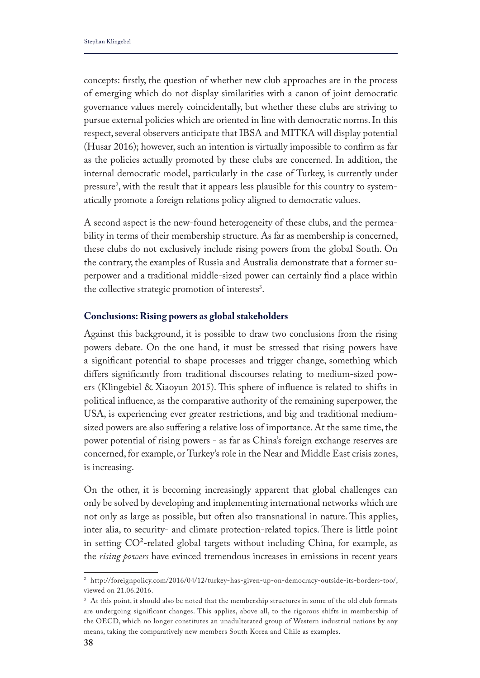concepts: frstly, the question of whether new club approaches are in the process of emerging which do not display similarities with a canon of joint democratic governance values merely coincidentally, but whether these clubs are striving to pursue external policies which are oriented in line with democratic norms. In this respect, several observers anticipate that IBSA and MITKA will display potential (Husar 2016); however, such an intention is virtually impossible to confrm as far as the policies actually promoted by these clubs are concerned. In addition, the internal democratic model, particularly in the case of Turkey, is currently under pressure<sup>2</sup>, with the result that it appears less plausible for this country to systematically promote a foreign relations policy aligned to democratic values.

A second aspect is the new-found heterogeneity of these clubs, and the permeability in terms of their membership structure. As far as membership is concerned, these clubs do not exclusively include rising powers from the global South. On the contrary, the examples of Russia and Australia demonstrate that a former superpower and a traditional middle-sized power can certainly fnd a place within the collective strategic promotion of interests<sup>3</sup>.

# **Conclusions: Rising powers as global stakeholders**

Against this background, it is possible to draw two conclusions from the rising powers debate. On the one hand, it must be stressed that rising powers have a signifcant potential to shape processes and trigger change, something which difers signifcantly from traditional discourses relating to medium-sized powers (Klingebiel & Xiaoyun 2015). This sphere of influence is related to shifts in political infuence, as the comparative authority of the remaining superpower, the USA, is experiencing ever greater restrictions, and big and traditional mediumsized powers are also sufering a relative loss of importance. At the same time, the power potential of rising powers - as far as China's foreign exchange reserves are concerned, for example, or Turkey's role in the Near and Middle East crisis zones, is increasing.

On the other, it is becoming increasingly apparent that global challenges can only be solved by developing and implementing international networks which are not only as large as possible, but often also transnational in nature. This applies, inter alia, to security- and climate protection-related topics. There is little point in setting  $CO^2$ -related global targets without including China, for example, as the *rising powers* have evinced tremendous increases in emissions in recent years

<sup>2</sup> http://foreignpolicy.com/2016/04/12/turkey-has-given-up-on-democracy-outside-its-borders-too/, viewed on 21.06.2016.

<sup>&</sup>lt;sup>3</sup> At this point, it should also be noted that the membership structures in some of the old club formats are undergoing significant changes. This applies, above all, to the rigorous shifts in membership of the OECD, which no longer constitutes an unadulterated group of Western industrial nations by any means, taking the comparatively new members South Korea and Chile as examples.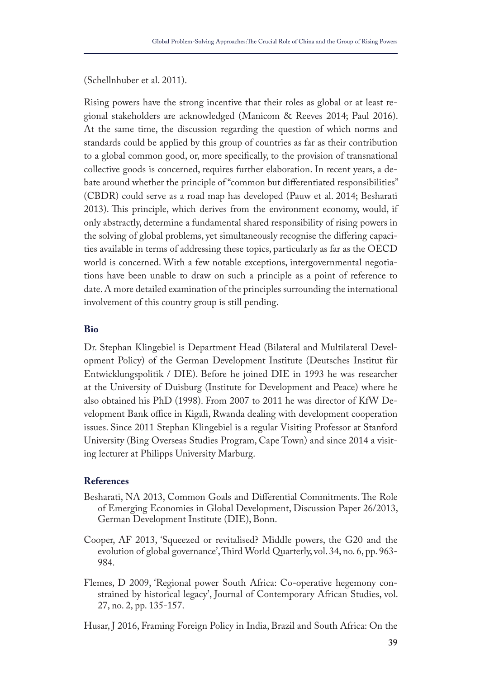(Schellnhuber et al. 2011).

Rising powers have the strong incentive that their roles as global or at least regional stakeholders are acknowledged (Manicom & Reeves 2014; Paul 2016). At the same time, the discussion regarding the question of which norms and standards could be applied by this group of countries as far as their contribution to a global common good, or, more specifcally, to the provision of transnational collective goods is concerned, requires further elaboration. In recent years, a debate around whether the principle of "common but diferentiated responsibilities" (CBDR) could serve as a road map has developed (Pauw et al. 2014; Besharati 2013). This principle, which derives from the environment economy, would, if only abstractly, determine a fundamental shared responsibility of rising powers in the solving of global problems, yet simultaneously recognise the difering capacities available in terms of addressing these topics, particularly as far as the OECD world is concerned. With a few notable exceptions, intergovernmental negotiations have been unable to draw on such a principle as a point of reference to date. A more detailed examination of the principles surrounding the international involvement of this country group is still pending.

### **Bio**

Dr. Stephan Klingebiel is Department Head (Bilateral and Multilateral Development Policy) of the German Development Institute (Deutsches Institut für Entwicklungspolitik / DIE). Before he joined DIE in 1993 he was researcher at the University of Duisburg (Institute for Development and Peace) where he also obtained his PhD (1998). From 2007 to 2011 he was director of KfW Development Bank office in Kigali, Rwanda dealing with development cooperation issues. Since 2011 Stephan Klingebiel is a regular Visiting Professor at Stanford University (Bing Overseas Studies Program, Cape Town) and since 2014 a visiting lecturer at Philipps University Marburg.

### **References**

- Besharati, NA 2013, Common Goals and Differential Commitments. The Role of Emerging Economies in Global Development, Discussion Paper 26/2013, German Development Institute (DIE), Bonn.
- Cooper, AF 2013, 'Squeezed or revitalised? Middle powers, the G20 and the evolution of global governance', Third World Quarterly, vol. 34, no. 6, pp. 963-984.
- Flemes, D 2009, 'Regional power South Africa: Co-operative hegemony constrained by historical legacy', Journal of Contemporary African Studies, vol. 27, no. 2, pp. 135-157.
- Husar, J 2016, Framing Foreign Policy in India, Brazil and South Africa: On the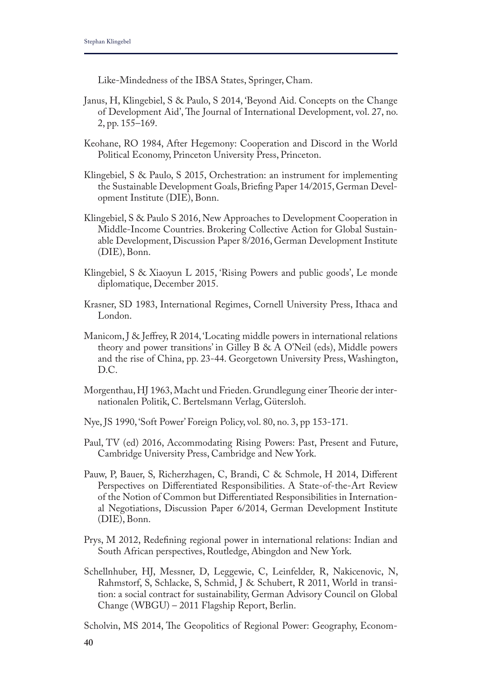Like-Mindedness of the IBSA States, Springer, Cham.

- Janus, H, Klingebiel, S & Paulo, S 2014, 'Beyond Aid. Concepts on the Change of Development Aid', The Journal of International Development, vol. 27, no. 2, pp. 155–169.
- Keohane, RO 1984, After Hegemony: Cooperation and Discord in the World Political Economy, Princeton University Press, Princeton.
- Klingebiel, S & Paulo, S 2015, Orchestration: an instrument for implementing the Sustainable Development Goals, Briefng Paper 14/2015, German Development Institute (DIE), Bonn.
- Klingebiel, S & Paulo S 2016, New Approaches to Development Cooperation in Middle-Income Countries. Brokering Collective Action for Global Sustainable Development, Discussion Paper 8/2016, German Development Institute (DIE), Bonn.
- Klingebiel, S & Xiaoyun L 2015, 'Rising Powers and public goods', Le monde diplomatique, December 2015.
- Krasner, SD 1983, International Regimes, Cornell University Press, Ithaca and London.
- Manicom, J & Jefrey, R 2014, 'Locating middle powers in international relations theory and power transitions' in Gilley B & A O'Neil (eds), Middle powers and the rise of China, pp. 23-44. Georgetown University Press, Washington, D.C.
- Morgenthau, HJ 1963, Macht und Frieden. Grundlegung einer Theorie der internationalen Politik, C. Bertelsmann Verlag, Gütersloh.
- Nye, JS 1990, 'Soft Power' Foreign Policy, vol. 80, no. 3, pp 153-171.
- Paul, TV (ed) 2016, Accommodating Rising Powers: Past, Present and Future, Cambridge University Press, Cambridge and New York.
- Pauw, P, Bauer, S, Richerzhagen, C, Brandi, C & Schmole, H 2014, Diferent Perspectives on Diferentiated Responsibilities. A State-of-the-Art Review of the Notion of Common but Diferentiated Responsibilities in International Negotiations, Discussion Paper 6/2014, German Development Institute (DIE), Bonn.
- Prys, M 2012, Redefning regional power in international relations: Indian and South African perspectives, Routledge, Abingdon and New York.
- Schellnhuber, HJ, Messner, D, Leggewie, C, Leinfelder, R, Nakicenovic, N, Rahmstorf, S, Schlacke, S, Schmid, J & Schubert, R 2011, World in transition: a social contract for sustainability, German Advisory Council on Global Change (WBGU) – 2011 Flagship Report, Berlin.
- Scholvin, MS 2014, The Geopolitics of Regional Power: Geography, Econom-